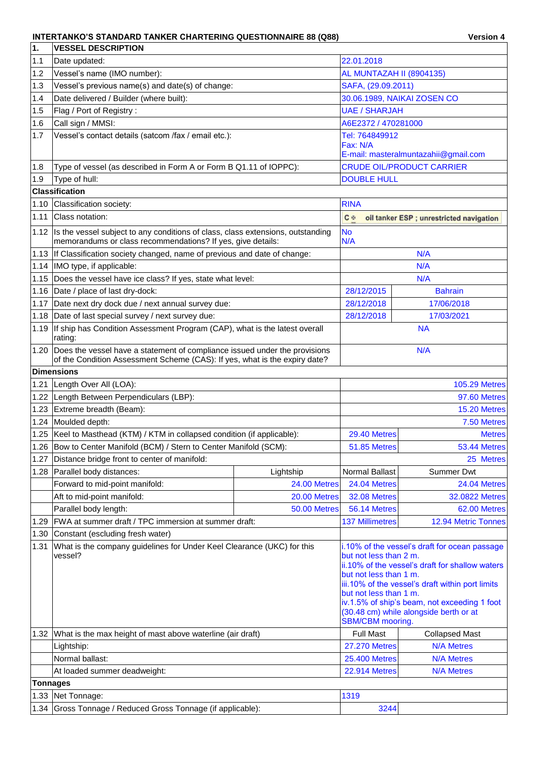## **INTERTANKO'S STANDARD TANKER CHARTERING QUESTIONNAIRE 88 (Q88) Version 4**

| 1.              | <b>VESSEL DESCRIPTION</b>                                                                                                                                     |                          |                             |                        |                                                                                                                                                                                                                                                                                                                                                         |
|-----------------|---------------------------------------------------------------------------------------------------------------------------------------------------------------|--------------------------|-----------------------------|------------------------|---------------------------------------------------------------------------------------------------------------------------------------------------------------------------------------------------------------------------------------------------------------------------------------------------------------------------------------------------------|
| 1.1             | Date updated:                                                                                                                                                 | 22.01.2018               |                             |                        |                                                                                                                                                                                                                                                                                                                                                         |
| 1.2             | Vessel's name (IMO number):                                                                                                                                   | AL MUNTAZAH II (8904135) |                             |                        |                                                                                                                                                                                                                                                                                                                                                         |
| 1.3             | Vessel's previous name(s) and date(s) of change:                                                                                                              |                          | SAFA, (29.09.2011)          |                        |                                                                                                                                                                                                                                                                                                                                                         |
| 1.4             | Date delivered / Builder (where built):                                                                                                                       |                          | 30.06.1989, NAIKAI ZOSEN CO |                        |                                                                                                                                                                                                                                                                                                                                                         |
| 1.5             | Flag / Port of Registry:                                                                                                                                      |                          |                             | <b>UAE / SHARJAH</b>   |                                                                                                                                                                                                                                                                                                                                                         |
| 1.6             | Call sign / MMSI:                                                                                                                                             |                          | A6E2372 / 470281000         |                        |                                                                                                                                                                                                                                                                                                                                                         |
| 1.7             | Vessel's contact details (satcom /fax / email etc.):                                                                                                          |                          |                             | Tel: 764849912         |                                                                                                                                                                                                                                                                                                                                                         |
|                 |                                                                                                                                                               | Fax: N/A                 |                             |                        |                                                                                                                                                                                                                                                                                                                                                         |
|                 |                                                                                                                                                               |                          |                             |                        | E-mail: masteralmuntazahii@gmail.com                                                                                                                                                                                                                                                                                                                    |
| 1.8             | Type of vessel (as described in Form A or Form B Q1.11 of IOPPC):                                                                                             |                          |                             |                        | <b>CRUDE OIL/PRODUCT CARRIER</b>                                                                                                                                                                                                                                                                                                                        |
| 1.9             | Type of hull:                                                                                                                                                 |                          |                             | <b>DOUBLE HULL</b>     |                                                                                                                                                                                                                                                                                                                                                         |
|                 | <b>Classification</b>                                                                                                                                         |                          |                             |                        |                                                                                                                                                                                                                                                                                                                                                         |
| 1.10            | Classification society:                                                                                                                                       |                          | <b>RINA</b>                 |                        |                                                                                                                                                                                                                                                                                                                                                         |
| 1.11            | Class notation:                                                                                                                                               |                          | <b>C</b>                    |                        | oil tanker ESP; unrestricted navigation                                                                                                                                                                                                                                                                                                                 |
| 1.12            | Is the vessel subject to any conditions of class, class extensions, outstanding<br>memorandums or class recommendations? If yes, give details:                |                          | <b>No</b><br>N/A            |                        |                                                                                                                                                                                                                                                                                                                                                         |
|                 | 1.13 If Classification society changed, name of previous and date of change:                                                                                  |                          |                             |                        | N/A                                                                                                                                                                                                                                                                                                                                                     |
| 1.14            | IMO type, if applicable:                                                                                                                                      |                          |                             |                        | N/A                                                                                                                                                                                                                                                                                                                                                     |
|                 | 1.15 Does the vessel have ice class? If yes, state what level:                                                                                                |                          |                             |                        | N/A                                                                                                                                                                                                                                                                                                                                                     |
| 1.16            | Date / place of last dry-dock:                                                                                                                                |                          |                             | 28/12/2015             | <b>Bahrain</b>                                                                                                                                                                                                                                                                                                                                          |
| 1.17            | Date next dry dock due / next annual survey due:                                                                                                              |                          |                             | 28/12/2018             | 17/06/2018                                                                                                                                                                                                                                                                                                                                              |
|                 | 1.18 Date of last special survey / next survey due:                                                                                                           |                          |                             | 28/12/2018             | 17/03/2021                                                                                                                                                                                                                                                                                                                                              |
| 1.19            | If ship has Condition Assessment Program (CAP), what is the latest overall<br>rating:                                                                         |                          | <b>NA</b>                   |                        |                                                                                                                                                                                                                                                                                                                                                         |
|                 | 1.20 Does the vessel have a statement of compliance issued under the provisions<br>of the Condition Assessment Scheme (CAS): If yes, what is the expiry date? |                          |                             | N/A                    |                                                                                                                                                                                                                                                                                                                                                         |
|                 | <b>Dimensions</b>                                                                                                                                             |                          |                             |                        |                                                                                                                                                                                                                                                                                                                                                         |
| 1.21            | Length Over All (LOA):                                                                                                                                        |                          | <b>105.29 Metres</b>        |                        |                                                                                                                                                                                                                                                                                                                                                         |
| 1.22            | Length Between Perpendiculars (LBP):                                                                                                                          |                          | 97.60 Metres                |                        |                                                                                                                                                                                                                                                                                                                                                         |
| 1.23            | Extreme breadth (Beam):                                                                                                                                       |                          | 15.20 Metres                |                        |                                                                                                                                                                                                                                                                                                                                                         |
| 1.24            | Moulded depth:                                                                                                                                                |                          |                             |                        | 7.50 Metres                                                                                                                                                                                                                                                                                                                                             |
|                 | 1.25   Keel to Masthead (KTM) / KTM in collapsed condition (if applicable):                                                                                   |                          |                             | 29.40 Metres           | <b>Metres</b>                                                                                                                                                                                                                                                                                                                                           |
|                 | 1.26   Bow to Center Manifold (BCM) / Stern to Center Manifold (SCM):                                                                                         |                          |                             | 51.85 Metres           | 53.44 Metres                                                                                                                                                                                                                                                                                                                                            |
| 1.27            | Distance bridge front to center of manifold:                                                                                                                  |                          |                             |                        | 25 Metres                                                                                                                                                                                                                                                                                                                                               |
| 1.28            | Parallel body distances:                                                                                                                                      | Lightship                |                             | Normal Ballast         | <b>Summer Dwt</b>                                                                                                                                                                                                                                                                                                                                       |
|                 | Forward to mid-point manifold:                                                                                                                                | 24.00 Metres             |                             | 24.04 Metres           | 24.04 Metres                                                                                                                                                                                                                                                                                                                                            |
|                 | Aft to mid-point manifold:                                                                                                                                    | 20.00 Metres             |                             | 32.08 Metres           | 32.0822 Metres                                                                                                                                                                                                                                                                                                                                          |
|                 | Parallel body length:                                                                                                                                         | 50.00 Metres             |                             | 56.14 Metres           | 62.00 Metres                                                                                                                                                                                                                                                                                                                                            |
| 1.29            | FWA at summer draft / TPC immersion at summer draft:                                                                                                          |                          |                             | <b>137 Millimetres</b> | 12.94 Metric Tonnes                                                                                                                                                                                                                                                                                                                                     |
| 1.30            | Constant (escluding fresh water)                                                                                                                              |                          |                             |                        |                                                                                                                                                                                                                                                                                                                                                         |
| 1.31            | What is the company guidelines for Under Keel Clearance (UKC) for this<br>vessel?                                                                             |                          |                             |                        | i.10% of the vessel's draft for ocean passage<br>but not less than 2 m.<br>ii.10% of the vessel's draft for shallow waters<br>but not less than 1 m.<br>iii.10% of the vessel's draft within port limits<br>but not less than 1 m.<br>iv.1.5% of ship's beam, not exceeding 1 foot<br>(30.48 cm) while alongside berth or at<br><b>SBM/CBM</b> mooring. |
|                 | 1.32 What is the max height of mast above waterline (air draft)                                                                                               |                          |                             | <b>Full Mast</b>       | <b>Collapsed Mast</b>                                                                                                                                                                                                                                                                                                                                   |
|                 | Lightship:                                                                                                                                                    |                          |                             | <b>27.270 Metres</b>   | <b>N/A Metres</b>                                                                                                                                                                                                                                                                                                                                       |
|                 | Normal ballast:                                                                                                                                               |                          |                             | <b>25.400 Metres</b>   | <b>N/A Metres</b>                                                                                                                                                                                                                                                                                                                                       |
|                 | At loaded summer deadweight:                                                                                                                                  |                          |                             | <b>22.914 Metres</b>   | <b>N/A Metres</b>                                                                                                                                                                                                                                                                                                                                       |
| <b>Tonnages</b> |                                                                                                                                                               |                          |                             |                        |                                                                                                                                                                                                                                                                                                                                                         |
|                 | 1.33 Net Tonnage:                                                                                                                                             |                          | 1319                        |                        |                                                                                                                                                                                                                                                                                                                                                         |
|                 | 1.34 Gross Tonnage / Reduced Gross Tonnage (if applicable):                                                                                                   |                          | 3244                        |                        |                                                                                                                                                                                                                                                                                                                                                         |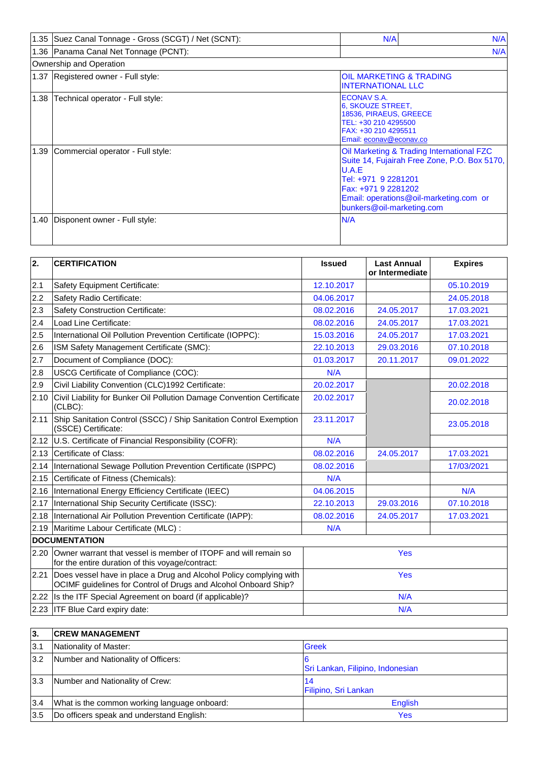|      | 1.35 Suez Canal Tonnage - Gross (SCGT) / Net (SCNT): | N/A<br>N/A                                                                                                                                                                                                              |
|------|------------------------------------------------------|-------------------------------------------------------------------------------------------------------------------------------------------------------------------------------------------------------------------------|
|      | 1.36 Panama Canal Net Tonnage (PCNT):                | N/A                                                                                                                                                                                                                     |
|      | Ownership and Operation                              |                                                                                                                                                                                                                         |
|      | 1.37 Registered owner - Full style:                  | OIL MARKETING & TRADING<br><b>INTERNATIONAL LLC</b>                                                                                                                                                                     |
| 1.38 | Technical operator - Full style:                     | <b>ECONAV S.A.</b><br>6, SKOUZE STREET.<br>18536, PIRAEUS, GREECE<br>TEL: +30 210 4295500<br>FAX: +30 210 4295511<br>Email: econav@econav.co                                                                            |
| 1.39 | Commercial operator - Full style:                    | Oil Marketing & Trading International FZC<br>Suite 14, Fujairah Free Zone, P.O. Box 5170,<br>U.A.E<br>Tel: +971 9 2281201<br>Fax: +971 9 2281202<br>Email: operations@oil-marketing.com or<br>bunkers@oil-marketing.com |
| 1.40 | Disponent owner - Full style:                        | N/A                                                                                                                                                                                                                     |

| 2.   | <b>CERTIFICATION</b>                                                                                                                  | <b>Issued</b> | <b>Last Annual</b><br>or Intermediate | <b>Expires</b> |  |
|------|---------------------------------------------------------------------------------------------------------------------------------------|---------------|---------------------------------------|----------------|--|
| 2.1  | Safety Equipment Certificate:                                                                                                         | 12.10.2017    |                                       | 05.10.2019     |  |
| 2.2  | Safety Radio Certificate:                                                                                                             | 04.06.2017    |                                       | 24.05.2018     |  |
| 2.3  | <b>Safety Construction Certificate:</b>                                                                                               | 08.02.2016    | 24.05.2017                            | 17.03.2021     |  |
| 2.4  | Load Line Certificate:                                                                                                                | 08.02.2016    | 24.05.2017                            | 17.03.2021     |  |
| 2.5  | International Oil Pollution Prevention Certificate (IOPPC):                                                                           | 15.03.2016    | 24.05.2017                            | 17.03.2021     |  |
| 2.6  | ISM Safety Management Certificate (SMC):                                                                                              | 22.10.2013    | 29.03.2016                            | 07.10.2018     |  |
| 2.7  | Document of Compliance (DOC):                                                                                                         | 01.03.2017    | 20.11.2017                            | 09.01.2022     |  |
| 2.8  | USCG Certificate of Compliance (COC):                                                                                                 | N/A           |                                       |                |  |
| 2.9  | Civil Liability Convention (CLC)1992 Certificate:                                                                                     | 20.02.2017    |                                       | 20.02.2018     |  |
| 2.10 | Civil Liability for Bunker Oil Pollution Damage Convention Certificate<br>(CLBC):                                                     | 20.02.2017    |                                       | 20.02.2018     |  |
| 2.11 | Ship Sanitation Control (SSCC) / Ship Sanitation Control Exemption<br>(SSCE) Certificate:                                             | 23.11.2017    |                                       | 23.05.2018     |  |
| 2.12 | U.S. Certificate of Financial Responsibility (COFR):                                                                                  | N/A           |                                       |                |  |
| 2.13 | Certificate of Class:                                                                                                                 | 08.02.2016    | 24.05.2017                            | 17.03.2021     |  |
|      | 2.14 International Sewage Pollution Prevention Certificate (ISPPC)                                                                    | 08.02.2016    |                                       | 17/03/2021     |  |
| 2.15 | Certificate of Fitness (Chemicals):                                                                                                   | N/A           |                                       |                |  |
| 2.16 | International Energy Efficiency Certificate (IEEC)                                                                                    | 04.06.2015    |                                       | N/A            |  |
| 2.17 | International Ship Security Certificate (ISSC):                                                                                       | 22.10.2013    | 29.03.2016                            | 07.10.2018     |  |
| 2.18 | International Air Pollution Prevention Certificate (IAPP):                                                                            | 08.02.2016    | 24.05.2017                            | 17.03.2021     |  |
| 2.19 | Maritime Labour Certificate (MLC) :                                                                                                   | N/A           |                                       |                |  |
|      | <b>DOCUMENTATION</b>                                                                                                                  |               |                                       |                |  |
| 2.20 | Owner warrant that vessel is member of ITOPF and will remain so<br>for the entire duration of this voyage/contract:                   | Yes           |                                       |                |  |
| 2.21 | Does vessel have in place a Drug and Alcohol Policy complying with<br>OCIMF guidelines for Control of Drugs and Alcohol Onboard Ship? | <b>Yes</b>    |                                       |                |  |
|      | 2.22 Is the ITF Special Agreement on board (if applicable)?                                                                           | N/A           |                                       |                |  |
|      | 2.23 ITF Blue Card expiry date:                                                                                                       | N/A           |                                       |                |  |

| 3.  | <b>CREW MANAGEMENT</b>                       |                                  |
|-----|----------------------------------------------|----------------------------------|
| 3.1 | Nationality of Master:                       | <b>Greek</b>                     |
| 3.2 | Number and Nationality of Officers:          | Sri Lankan, Filipino, Indonesian |
| 3.3 | Number and Nationality of Crew:              | 14<br>Filipino, Sri Lankan       |
| 3.4 | What is the common working language onboard: | English                          |
| 3.5 | Do officers speak and understand English:    | Yes                              |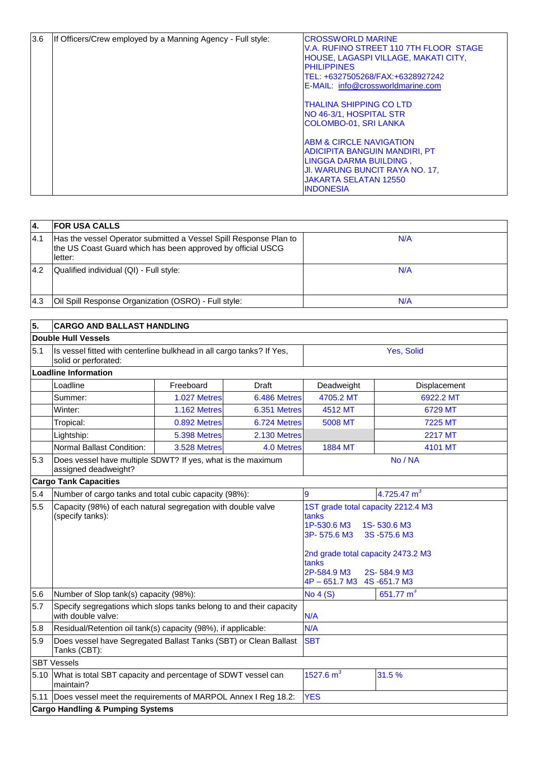| 3.6 | If Officers/Crew employed by a Manning Agency - Full style: | <b>CROSSWORLD MARINE</b><br>V.A. RUFINO STREET 110 7TH FLOOR STAGE<br>HOUSE, LAGASPI VILLAGE, MAKATI CITY,<br><b>PHILIPPINES</b><br>TEL: +6327505268/FAX:+6328927242<br>E-MAIL: info@crossworldmarine.com<br><b>ITHALINA SHIPPING CO LTD</b><br><b>NO 46-3/1, HOSPITAL STR</b> |
|-----|-------------------------------------------------------------|--------------------------------------------------------------------------------------------------------------------------------------------------------------------------------------------------------------------------------------------------------------------------------|
|     |                                                             | COLOMBO-01, SRI LANKA<br><b>ABM &amp; CIRCLE NAVIGATION</b><br><b>ADICIPITA BANGUIN MANDIRI, PT</b><br>LINGGA DARMA BUILDING,<br>JI. WARUNG BUNCIT RAYA NO. 17,<br><b>JAKARTA SELATAN 12550</b><br><b>INDONESIA</b>                                                            |

| 14.  | <b>IFOR USA CALLS</b>                                                                                                                       |     |
|------|---------------------------------------------------------------------------------------------------------------------------------------------|-----|
| 4.1  | Has the vessel Operator submitted a Vessel Spill Response Plan to<br>the US Coast Guard which has been approved by official USCG<br>letter: | N/A |
| 4.2  | Qualified individual (QI) - Full style:                                                                                                     | N/A |
| I4.3 | Oil Spill Response Organization (OSRO) - Full style:                                                                                        | N/A |

| 5.                           | <b>CARGO AND BALLAST HANDLING</b>                                                             |                     |                                                                                                                                                                                                                 |                 |                |  |  |  |  |
|------------------------------|-----------------------------------------------------------------------------------------------|---------------------|-----------------------------------------------------------------------------------------------------------------------------------------------------------------------------------------------------------------|-----------------|----------------|--|--|--|--|
| <b>Double Hull Vessels</b>   |                                                                                               |                     |                                                                                                                                                                                                                 |                 |                |  |  |  |  |
| 5.1                          | Is vessel fitted with centerline bulkhead in all cargo tanks? If Yes,<br>solid or perforated: |                     |                                                                                                                                                                                                                 | Yes, Solid      |                |  |  |  |  |
|                              | <b>Loadline Information</b>                                                                   |                     |                                                                                                                                                                                                                 |                 |                |  |  |  |  |
|                              | Loadline<br>Freeboard<br><b>Draft</b>                                                         |                     |                                                                                                                                                                                                                 | Deadweight      | Displacement   |  |  |  |  |
|                              | Summer:                                                                                       | 1.027 Metres        | 6.486 Metres                                                                                                                                                                                                    | 4705.2 MT       | 6922.2 MT      |  |  |  |  |
|                              | Winter:                                                                                       | 1.162 Metres        | 6.351 Metres                                                                                                                                                                                                    | 4512 MT         | 6729 MT        |  |  |  |  |
|                              | Tropical:                                                                                     | 0.892 Metres        | 6.724 Metres                                                                                                                                                                                                    | 5008 MT         | <b>7225 MT</b> |  |  |  |  |
|                              | Lightship:                                                                                    | 5.398 Metres        | 2.130 Metres                                                                                                                                                                                                    |                 | <b>2217 MT</b> |  |  |  |  |
|                              | Normal Ballast Condition:                                                                     | <b>3.528 Metres</b> | 4.0 Metres                                                                                                                                                                                                      | 1884 MT         | 4101 MT        |  |  |  |  |
| 5.3                          | Does vessel have multiple SDWT? If yes, what is the maximum<br>assigned deadweight?           |                     |                                                                                                                                                                                                                 | No / NA         |                |  |  |  |  |
| <b>Cargo Tank Capacities</b> |                                                                                               |                     |                                                                                                                                                                                                                 |                 |                |  |  |  |  |
| 5.4                          | Number of cargo tanks and total cubic capacity (98%):                                         |                     |                                                                                                                                                                                                                 | 9               | 4.725.47 $m^3$ |  |  |  |  |
| 5.5                          | Capacity (98%) of each natural segregation with double valve<br>(specify tanks):              |                     | 1ST grade total capacity 2212.4 M3<br>tanks<br>1P-530.6 M3<br>1S-530.6 M3<br>3P-575.6 M3<br>3S-575.6 M3<br>2nd grade total capacity 2473.2 M3<br>tanks<br>2P-584.9 M3<br>2S-584.9 M3<br>4P-651.7 M3 4S-651.7 M3 |                 |                |  |  |  |  |
| 5.6                          | Number of Slop tank(s) capacity (98%):                                                        |                     |                                                                                                                                                                                                                 | <b>No 4 (S)</b> | 651.77 $m3$    |  |  |  |  |
| 5.7                          | Specify segregations which slops tanks belong to and their capacity<br>with double valve:     |                     |                                                                                                                                                                                                                 | N/A             |                |  |  |  |  |
| 5.8                          | Residual/Retention oil tank(s) capacity (98%), if applicable:                                 |                     |                                                                                                                                                                                                                 | N/A             |                |  |  |  |  |
| 5.9                          | Does vessel have Segregated Ballast Tanks (SBT) or Clean Ballast<br>Tanks (CBT):              |                     | <b>SBT</b>                                                                                                                                                                                                      |                 |                |  |  |  |  |
|                              | <b>SBT Vessels</b>                                                                            |                     |                                                                                                                                                                                                                 |                 |                |  |  |  |  |
| 5.10                         | What is total SBT capacity and percentage of SDWT vessel can<br>maintain?                     |                     |                                                                                                                                                                                                                 | 1527.6 $m^3$    | 31.5 %         |  |  |  |  |
| 5.11                         | Does vessel meet the requirements of MARPOL Annex I Reg 18.2:                                 |                     |                                                                                                                                                                                                                 | <b>YES</b>      |                |  |  |  |  |
|                              | <b>Cargo Handling &amp; Pumping Systems</b>                                                   |                     |                                                                                                                                                                                                                 |                 |                |  |  |  |  |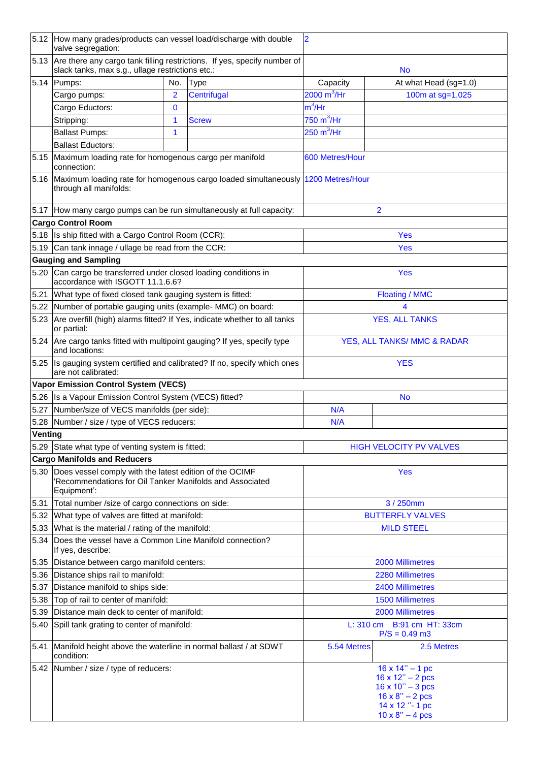|         | 5.12 How many grades/products can vessel load/discharge with double<br>valve segregation:                                               |                |                                                                                       | $\overline{2}$              |                                                                                                                                                              |  |
|---------|-----------------------------------------------------------------------------------------------------------------------------------------|----------------|---------------------------------------------------------------------------------------|-----------------------------|--------------------------------------------------------------------------------------------------------------------------------------------------------------|--|
| 5.13    | slack tanks, max s.g., ullage restrictions etc.:                                                                                        |                | Are there any cargo tank filling restrictions. If yes, specify number of              |                             | <b>No</b>                                                                                                                                                    |  |
| 5.14    | Pumps:                                                                                                                                  | No.            | <b>Type</b>                                                                           | Capacity                    | At what Head (sg=1.0)                                                                                                                                        |  |
|         | Cargo pumps:                                                                                                                            | $\overline{2}$ | Centrifugal                                                                           | $2000 \overline{m^3/Hr}$    | 100m at sg=1,025                                                                                                                                             |  |
|         | Cargo Eductors:                                                                                                                         | $\mathbf 0$    |                                                                                       | $m^3$ /Hr                   |                                                                                                                                                              |  |
|         | Stripping:                                                                                                                              | 1              | <b>Screw</b>                                                                          | $750 \text{ m}^3/\text{Hr}$ |                                                                                                                                                              |  |
|         | <b>Ballast Pumps:</b>                                                                                                                   | 1              |                                                                                       | $250 \text{ m}^3/\text{Hr}$ |                                                                                                                                                              |  |
|         | <b>Ballast Eductors:</b>                                                                                                                |                |                                                                                       |                             |                                                                                                                                                              |  |
| 5.15    | Maximum loading rate for homogenous cargo per manifold<br>connection:                                                                   |                |                                                                                       | 600 Metres/Hour             |                                                                                                                                                              |  |
|         | through all manifolds:                                                                                                                  |                | 5.16 Maximum loading rate for homogenous cargo loaded simultaneously 1200 Metres/Hour |                             |                                                                                                                                                              |  |
|         | 5.17 How many cargo pumps can be run simultaneously at full capacity:                                                                   |                |                                                                                       |                             | $\overline{2}$                                                                                                                                               |  |
|         | <b>Cargo Control Room</b>                                                                                                               |                |                                                                                       |                             |                                                                                                                                                              |  |
|         | 5.18 Is ship fitted with a Cargo Control Room (CCR):                                                                                    |                |                                                                                       |                             | Yes                                                                                                                                                          |  |
|         | 5.19 Can tank innage / ullage be read from the CCR:                                                                                     |                |                                                                                       |                             | Yes                                                                                                                                                          |  |
|         | <b>Gauging and Sampling</b>                                                                                                             |                |                                                                                       |                             |                                                                                                                                                              |  |
| 5.20    | Can cargo be transferred under closed loading conditions in<br>accordance with ISGOTT 11.1.6.6?                                         |                |                                                                                       |                             | <b>Yes</b>                                                                                                                                                   |  |
| 5.21    | What type of fixed closed tank gauging system is fitted:                                                                                |                |                                                                                       |                             | <b>Floating / MMC</b>                                                                                                                                        |  |
| 5.22    | Number of portable gauging units (example- MMC) on board:                                                                               |                |                                                                                       |                             | 4                                                                                                                                                            |  |
| 5.23    | Are overfill (high) alarms fitted? If Yes, indicate whether to all tanks<br>or partial:                                                 |                |                                                                                       | <b>YES, ALL TANKS</b>       |                                                                                                                                                              |  |
| 5.24    | Are cargo tanks fitted with multipoint gauging? If yes, specify type<br>and locations:                                                  |                |                                                                                       | YES, ALL TANKS/ MMC & RADAR |                                                                                                                                                              |  |
|         | are not calibrated:                                                                                                                     |                | 5.25 Is gauging system certified and calibrated? If no, specify which ones            | <b>YES</b>                  |                                                                                                                                                              |  |
|         | <b>Vapor Emission Control System (VECS)</b>                                                                                             |                |                                                                                       |                             |                                                                                                                                                              |  |
|         | 5.26 Is a Vapour Emission Control System (VECS) fitted?                                                                                 |                |                                                                                       |                             | No                                                                                                                                                           |  |
| 5.27    | Number/size of VECS manifolds (per side):                                                                                               |                |                                                                                       | N/A                         |                                                                                                                                                              |  |
|         | 5.28  Number / size / type of VECS reducers:                                                                                            |                |                                                                                       | N/A                         |                                                                                                                                                              |  |
| Venting |                                                                                                                                         |                |                                                                                       |                             |                                                                                                                                                              |  |
|         | 5.29 State what type of venting system is fitted:                                                                                       |                |                                                                                       |                             | <b>HIGH VELOCITY PV VALVES</b>                                                                                                                               |  |
|         | <b>Cargo Manifolds and Reducers</b>                                                                                                     |                |                                                                                       |                             |                                                                                                                                                              |  |
|         | 5.30 Does vessel comply with the latest edition of the OCIMF<br>'Recommendations for Oil Tanker Manifolds and Associated<br>Equipment': |                |                                                                                       | <b>Yes</b>                  |                                                                                                                                                              |  |
| 5.31    | Total number /size of cargo connections on side:                                                                                        |                |                                                                                       | 3 / 250mm                   |                                                                                                                                                              |  |
| 5.32    | What type of valves are fitted at manifold:                                                                                             |                |                                                                                       |                             | <b>BUTTERFLY VALVES</b>                                                                                                                                      |  |
| 5.33    | What is the material / rating of the manifold:                                                                                          |                |                                                                                       |                             | <b>MILD STEEL</b>                                                                                                                                            |  |
| 5.34    | Does the vessel have a Common Line Manifold connection?<br>If yes, describe:                                                            |                |                                                                                       |                             |                                                                                                                                                              |  |
| 5.35    | Distance between cargo manifold centers:                                                                                                |                |                                                                                       | 2000 Millimetres            |                                                                                                                                                              |  |
| 5.36    | Distance ships rail to manifold:                                                                                                        |                |                                                                                       | 2280 Millimetres            |                                                                                                                                                              |  |
| 5.37    | Distance manifold to ships side:                                                                                                        |                |                                                                                       |                             | 2400 Millimetres                                                                                                                                             |  |
| 5.38    | Top of rail to center of manifold:                                                                                                      |                |                                                                                       |                             | <b>1500 Millimetres</b>                                                                                                                                      |  |
| 5.39    | Distance main deck to center of manifold:                                                                                               |                |                                                                                       |                             | 2000 Millimetres                                                                                                                                             |  |
| 5.40    | Spill tank grating to center of manifold:                                                                                               |                |                                                                                       |                             | L: 310 cm B:91 cm HT: 33cm<br>$P/S = 0.49$ m3                                                                                                                |  |
| 5.41    | Manifold height above the waterline in normal ballast / at SDWT<br>condition:                                                           |                |                                                                                       | 5.54 Metres                 | 2.5 Metres                                                                                                                                                   |  |
|         | 5.42 Number / size / type of reducers:                                                                                                  |                |                                                                                       |                             | $16 \times 14" - 1$ pc<br>$16 \times 12" - 2$ pcs<br>$16 \times 10" - 3$ pcs<br>$16 \times 8" - 2 \text{ pcs}$<br>14 x 12 ° - 1 pc<br>$10 \times 8" - 4$ pcs |  |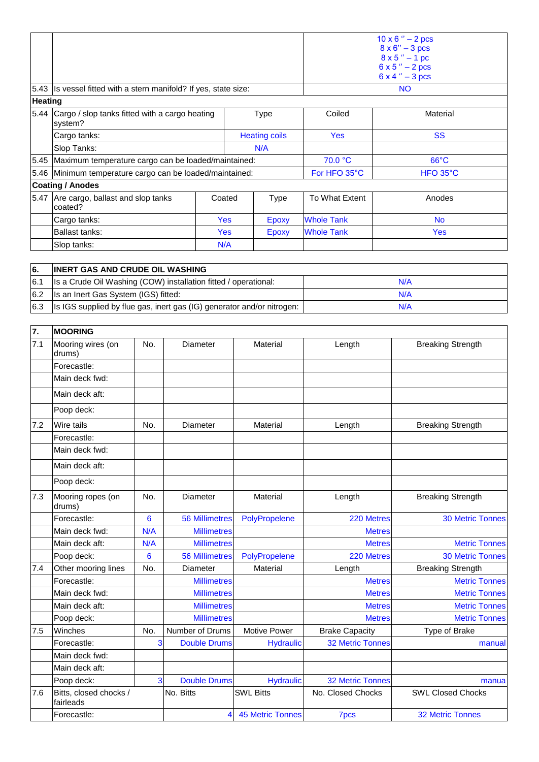|                |                                                                  |  | $10 \times 6$ " $- 2 \text{ pcs}$<br>$8 \times 6'' - 3 \text{ pcs}$<br>$8 \times 5$ " $- 1$ pc<br>$6 \times 5$ " $- 2 \text{ pcs}$<br>$6x4'' - 3pcs$ |              |                   |                   |
|----------------|------------------------------------------------------------------|--|------------------------------------------------------------------------------------------------------------------------------------------------------|--------------|-------------------|-------------------|
|                | 5.43 Is vessel fitted with a stern manifold? If yes, state size: |  |                                                                                                                                                      |              |                   | <b>NO</b>         |
| <b>Heating</b> |                                                                  |  |                                                                                                                                                      |              |                   |                   |
|                | 5.44 Cargo / slop tanks fitted with a cargo heating<br>system?   |  | Type                                                                                                                                                 |              | Coiled            | Material          |
|                | Cargo tanks:                                                     |  | <b>Heating coils</b>                                                                                                                                 |              | <b>Yes</b>        | <b>SS</b>         |
|                | Slop Tanks:                                                      |  |                                                                                                                                                      | N/A          |                   |                   |
|                | 5.45 Maximum temperature cargo can be loaded/maintained:         |  |                                                                                                                                                      |              | 70.0 °C           | $66^{\circ}$ C    |
|                | 5.46 Minimum temperature cargo can be loaded/maintained:         |  |                                                                                                                                                      |              | For HFO 35°C      | $HFO 35^{\circ}C$ |
|                | <b>Coating / Anodes</b>                                          |  |                                                                                                                                                      |              |                   |                   |
|                | 5.47 Are cargo, ballast and slop tanks<br>coated?                |  | Coated                                                                                                                                               | <b>Type</b>  | To What Extent    | Anodes            |
|                | Cargo tanks:                                                     |  | <b>Yes</b>                                                                                                                                           | <b>Epoxy</b> | <b>Whole Tank</b> | <b>No</b>         |
|                | <b>Ballast tanks:</b>                                            |  | <b>Yes</b>                                                                                                                                           | Epoxy        | <b>Whole Tank</b> | <b>Yes</b>        |
|                | Slop tanks:                                                      |  | N/A                                                                                                                                                  |              |                   |                   |

| 6.  | <b>INERT GAS AND CRUDE OIL WASHING</b>                                         |     |
|-----|--------------------------------------------------------------------------------|-----|
| 6.1 | Is a Crude Oil Washing (COW) installation fitted / operational:                | N/A |
|     | 6.2   Is an Inert Gas System (IGS) fitted:                                     | N/A |
|     | 6.3   Is IGS supplied by flue gas, inert gas (IG) generator and/or nitrogen: 1 | N/A |

| 7.  | <b>MOORING</b>                      |     |                       |                         |                         |                          |
|-----|-------------------------------------|-----|-----------------------|-------------------------|-------------------------|--------------------------|
| 7.1 | Mooring wires (on<br>drums)         | No. | <b>Diameter</b>       | Material                | Length                  | <b>Breaking Strength</b> |
|     | Forecastle:                         |     |                       |                         |                         |                          |
|     | Main deck fwd:                      |     |                       |                         |                         |                          |
|     | Main deck aft:                      |     |                       |                         |                         |                          |
|     | Poop deck:                          |     |                       |                         |                         |                          |
| 7.2 | <b>Wire tails</b>                   | No. | Diameter              | Material                | Length                  | <b>Breaking Strength</b> |
|     | Forecastle:                         |     |                       |                         |                         |                          |
|     | Main deck fwd:                      |     |                       |                         |                         |                          |
|     | Main deck aft:                      |     |                       |                         |                         |                          |
|     | Poop deck:                          |     |                       |                         |                         |                          |
| 7.3 | Mooring ropes (on<br>drums)         | No. | Diameter              | Material                | Length                  | <b>Breaking Strength</b> |
|     | Forecastle:                         | 6   | <b>56 Millimetres</b> | PolyPropelene           | 220 Metres              | <b>30 Metric Tonnes</b>  |
|     | Main deck fwd:                      | N/A | <b>Millimetres</b>    |                         | <b>Metres</b>           |                          |
|     | Main deck aft:                      | N/A | <b>Millimetres</b>    |                         | <b>Metres</b>           | <b>Metric Tonnes</b>     |
|     | Poop deck:                          | 6   | <b>56 Millimetres</b> | PolyPropelene           | 220 Metres              | <b>30 Metric Tonnes</b>  |
| 7.4 | Other mooring lines                 | No. | <b>Diameter</b>       | Material                | Length                  | <b>Breaking Strength</b> |
|     | Forecastle:                         |     | <b>Millimetres</b>    |                         | <b>Metres</b>           | <b>Metric Tonnes</b>     |
|     | Main deck fwd:                      |     | <b>Millimetres</b>    |                         | <b>Metres</b>           | <b>Metric Tonnes</b>     |
|     | Main deck aft:                      |     | <b>Millimetres</b>    |                         | <b>Metres</b>           | <b>Metric Tonnes</b>     |
|     | Poop deck:                          |     | <b>Millimetres</b>    |                         | <b>Metres</b>           | <b>Metric Tonnes</b>     |
| 7.5 | Winches                             | No. | Number of Drums       | <b>Motive Power</b>     | <b>Brake Capacity</b>   | Type of Brake            |
|     | Forecastle:                         | 3   | <b>Double Drums</b>   | <b>Hydraulic</b>        | <b>32 Metric Tonnes</b> | manual                   |
|     | Main deck fwd:                      |     |                       |                         |                         |                          |
|     | Main deck aft:                      |     |                       |                         |                         |                          |
|     | Poop deck:                          | 3   | <b>Double Drums</b>   | <b>Hydraulic</b>        | <b>32 Metric Tonnes</b> | manua                    |
| 7.6 | Bitts, closed chocks /<br>fairleads |     | No. Bitts             | <b>SWL Bitts</b>        | No. Closed Chocks       | <b>SWL Closed Chocks</b> |
|     | Forecastle:                         |     | 4                     | <b>45 Metric Tonnes</b> | <b>7pcs</b>             | <b>32 Metric Tonnes</b>  |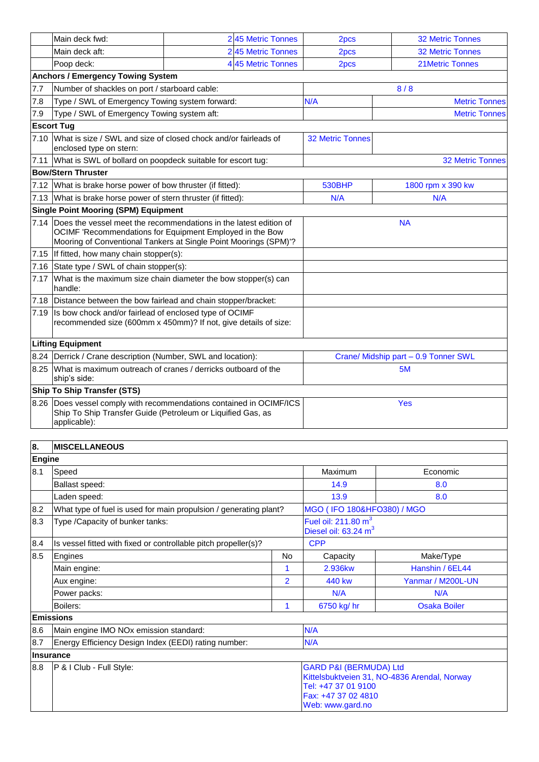|                                                                                    | Main deck fwd:                                                                                                                                                                                         |  | 2 45 Metric Tonnes                   | 2pcs                 | <b>32 Metric Tonnes</b> |
|------------------------------------------------------------------------------------|--------------------------------------------------------------------------------------------------------------------------------------------------------------------------------------------------------|--|--------------------------------------|----------------------|-------------------------|
|                                                                                    | Main deck aft:                                                                                                                                                                                         |  | 2 45 Metric Tonnes                   | 2pcs                 | <b>32 Metric Tonnes</b> |
|                                                                                    | Poop deck:                                                                                                                                                                                             |  | 4 45 Metric Tonnes                   | 2pcs                 | <b>21Metric Tonnes</b>  |
|                                                                                    | <b>Anchors / Emergency Towing System</b>                                                                                                                                                               |  |                                      |                      |                         |
| 7.7                                                                                | Number of shackles on port / starboard cable:                                                                                                                                                          |  |                                      | 8/8                  |                         |
| 7.8                                                                                | Type / SWL of Emergency Towing system forward:                                                                                                                                                         |  | N/A                                  | <b>Metric Tonnes</b> |                         |
| 7.9                                                                                | Type / SWL of Emergency Towing system aft:                                                                                                                                                             |  |                                      |                      | <b>Metric Tonnes</b>    |
|                                                                                    | <b>Escort Tug</b>                                                                                                                                                                                      |  |                                      |                      |                         |
|                                                                                    | 7.10 What is size / SWL and size of closed chock and/or fairleads of<br>enclosed type on stern:                                                                                                        |  | <b>32 Metric Tonnes</b>              |                      |                         |
| 7.11                                                                               | What is SWL of bollard on poopdeck suitable for escort tug:                                                                                                                                            |  |                                      |                      | <b>32 Metric Tonnes</b> |
|                                                                                    | <b>Bow/Stern Thruster</b>                                                                                                                                                                              |  |                                      |                      |                         |
|                                                                                    | 7.12 What is brake horse power of bow thruster (if fitted):                                                                                                                                            |  | <b>530BHP</b>                        | 1800 rpm x 390 kw    |                         |
|                                                                                    | 7.13 What is brake horse power of stern thruster (if fitted):                                                                                                                                          |  | N/A                                  | N/A                  |                         |
|                                                                                    | <b>Single Point Mooring (SPM) Equipment</b>                                                                                                                                                            |  |                                      |                      |                         |
|                                                                                    | 7.14 Does the vessel meet the recommendations in the latest edition of<br>OCIMF 'Recommendations for Equipment Employed in the Bow<br>Mooring of Conventional Tankers at Single Point Moorings (SPM)'? |  | <b>NA</b>                            |                      |                         |
|                                                                                    | 7.15 If fitted, how many chain stopper(s):                                                                                                                                                             |  |                                      |                      |                         |
| 7.16                                                                               | State type / SWL of chain stopper(s):                                                                                                                                                                  |  |                                      |                      |                         |
| 7.17                                                                               | What is the maximum size chain diameter the bow stopper(s) can<br>handle:                                                                                                                              |  |                                      |                      |                         |
|                                                                                    | 7.18 Distance between the bow fairlead and chain stopper/bracket:                                                                                                                                      |  |                                      |                      |                         |
| 7.19                                                                               | Is bow chock and/or fairlead of enclosed type of OCIMF<br>recommended size (600mm x 450mm)? If not, give details of size:                                                                              |  |                                      |                      |                         |
|                                                                                    | <b>Lifting Equipment</b>                                                                                                                                                                               |  |                                      |                      |                         |
|                                                                                    | 8.24 Derrick / Crane description (Number, SWL and location):                                                                                                                                           |  | Crane/ Midship part - 0.9 Tonner SWL |                      |                         |
| 8.25 What is maximum outreach of cranes / derricks outboard of the<br>ship's side: |                                                                                                                                                                                                        |  |                                      |                      | 5M                      |
|                                                                                    | <b>Ship To Ship Transfer (STS)</b>                                                                                                                                                                     |  |                                      |                      |                         |
|                                                                                    | 8.26 Does vessel comply with recommendations contained in OCIMF/ICS<br>Ship To Ship Transfer Guide (Petroleum or Liquified Gas, as<br>applicable):                                                     |  |                                      | <b>Yes</b>           |                         |

| 8.               | <b>MISCELLANEOUS</b>                                              |                |                                                                                                                                                     |                     |  |  |
|------------------|-------------------------------------------------------------------|----------------|-----------------------------------------------------------------------------------------------------------------------------------------------------|---------------------|--|--|
| Engine           |                                                                   |                |                                                                                                                                                     |                     |  |  |
| 8.1              | Speed                                                             |                | Maximum                                                                                                                                             | Economic            |  |  |
|                  | Ballast speed:                                                    |                | 14.9                                                                                                                                                | 8.0                 |  |  |
|                  | Laden speed:                                                      |                | 13.9                                                                                                                                                | 8.0                 |  |  |
| 8.2              | What type of fuel is used for main propulsion / generating plant? |                | MGO (IFO 180&HFO380) / MGO                                                                                                                          |                     |  |  |
| 8.3              | Type / Capacity of bunker tanks:                                  |                | Fuel oil: $211.80 \text{ m}^3$<br>Diesel oil: 63.24 m <sup>3</sup>                                                                                  |                     |  |  |
| 8.4              | Is vessel fitted with fixed or controllable pitch propeller(s)?   |                | <b>CPP</b>                                                                                                                                          |                     |  |  |
| 8.5              | Engines                                                           | <b>No</b>      | Capacity                                                                                                                                            | Make/Type           |  |  |
|                  | Main engine:                                                      | 1              | 2.936kw                                                                                                                                             | Hanshin / 6EL44     |  |  |
|                  | Aux engine:                                                       | $\overline{2}$ | 440 kw                                                                                                                                              | Yanmar / M200L-UN   |  |  |
|                  | Power packs:                                                      |                | N/A                                                                                                                                                 | N/A                 |  |  |
|                  | Boilers:                                                          | 1              | 6750 kg/ hr                                                                                                                                         | <b>Osaka Boiler</b> |  |  |
| <b>Emissions</b> |                                                                   |                |                                                                                                                                                     |                     |  |  |
| 8.6              | Main engine IMO NOx emission standard:                            | N/A            |                                                                                                                                                     |                     |  |  |
| 8.7              | Energy Efficiency Design Index (EEDI) rating number:              | N/A            |                                                                                                                                                     |                     |  |  |
| lInsurance       |                                                                   |                |                                                                                                                                                     |                     |  |  |
| 8.8              | P & I Club - Full Style:                                          |                | <b>GARD P&amp;I (BERMUDA) Ltd</b><br>Kittelsbuktveien 31, NO-4836 Arendal, Norway<br>Tel: +47 37 01 9100<br>Fax: +47 37 02 4810<br>Web: www.gard.no |                     |  |  |